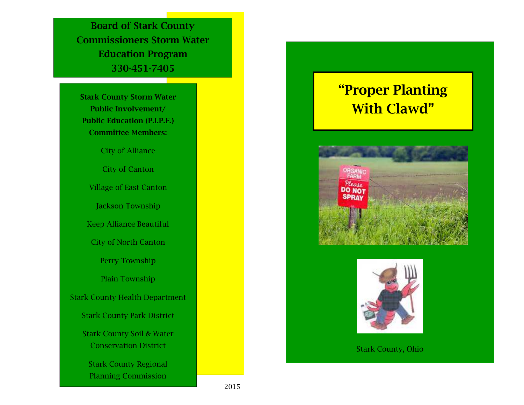**Board of Stark County Commissioners Storm Water Education Program 330-451-7405** 

**Stark County Storm Water Public Involvement/ Public Education (P.I.P.E.) Committee Members:** 

City of Alliance

City of Canton Village of East Canton Jackson Township Keep Alliance Beautiful City of North Canton Perry Township Plain Township Stark County Health Department Stark County Park District Stark County Soil & Water Conservation District Stark County Regional

Planning Commission

## **"Proper Planting With Clawd"**





Stark County, Ohio